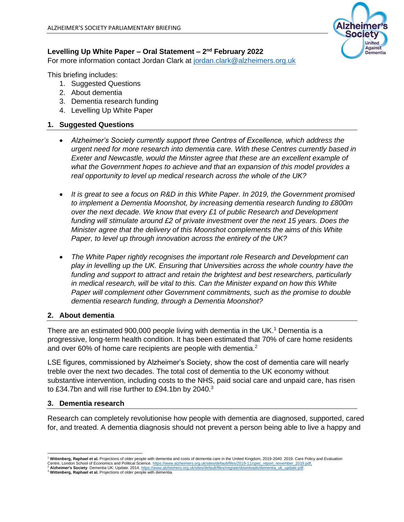## Levelling Up White Paper – Oral Statement – 2<sup>nd</sup> February 2022

For more information contact Jordan Clark at [jordan.clark@alzheimers.org.uk](mailto:jordan.clark@alzheimers.org.uk)

This briefing includes:

- 1. Suggested Questions
- 2. About dementia
- 3. Dementia research funding
- 4. Levelling Up White Paper

## **1. Suggested Questions**

- *Alzheimer's Society currently support three Centres of Excellence, which address the urgent need for more research into dementia care. With these Centres currently based in Exeter and Newcastle, would the Minster agree that these are an excellent example of what the Government hopes to achieve and that an expansion of this model provides a real opportunity to level up medical research across the whole of the UK?*
- *It is great to see a focus on R&D in this White Paper. In 2019, the Government promised to implement a Dementia Moonshot, by increasing dementia research funding to £800m over the next decade. We know that every £1 of public Research and Development funding will stimulate around £2 of private investment over the next 15 years. Does the Minister agree that the delivery of this Moonshot complements the aims of this White Paper, to level up through innovation across the entirety of the UK?*
- *The White Paper rightly recognises the important role Research and Development can play in levelling up the UK. Ensuring that Universities across the whole country have the funding and support to attract and retain the brightest and best researchers, particularly in medical research, will be vital to this. Can the Minister expand on how this White Paper will complement other Government commitments, such as the promise to double dementia research funding, through a Dementia Moonshot?*

#### **2. About dementia**

There are an estimated 900,000 people living with dementia in the UK.<sup>1</sup> Dementia is a progressive, long-term health condition. It has been estimated that 70% of care home residents and over 60% of home care recipients are people with dementia.<sup>2</sup>

LSE figures, commissioned by Alzheimer's Society, show the cost of dementia care will nearly treble over the next two decades. The total cost of dementia to the UK economy without substantive intervention, including costs to the NHS, paid social care and unpaid care, has risen to £34.7bn and will rise further to £94.1bn by 2040.<sup>3</sup>

#### **3. Dementia research**

Research can completely revolutionise how people with dementia are diagnosed, supported, cared for, and treated. A dementia diagnosis should not prevent a person being able to live a happy and



Wittenberg, Raphael et al. Projections of older people with dementia and costs of dementia care in the United Kingdom, 2019-2040. 2019. Care Policy and Evaluation Centre, London School of Economics and Political Science. <u>https://www.alzheimers.org.uk/sites/default/files/2019-11/cpec\_report\_november\_2019.pdf.</u><br><sup>2</sup> Alzheimer's Society. Dementia UK: Update. 2014. <u>https://www.alzheime</u>

<sup>3</sup> **Wittenberg, Raphael et al.** Projections of older people with dementia.